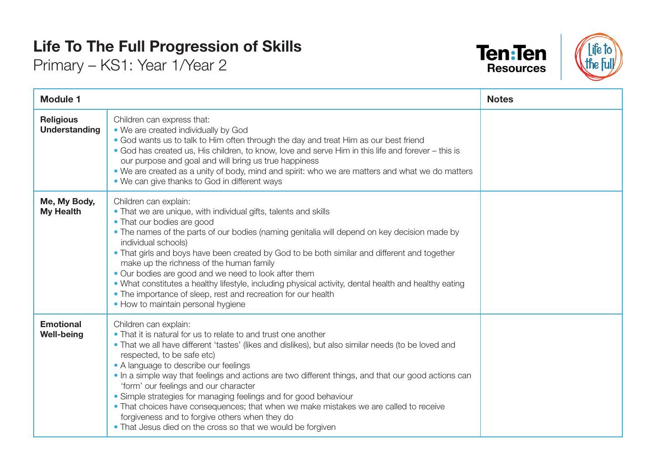## **Life To The Full Progression of Skills**

Primary – KS1: Year 1/Year 2





| <b>Module 1</b>                          |                                                                                                                                                                                                                                                                                                                                                                                                                                                                                                                                                                                                                                                                                                     | <b>Notes</b> |
|------------------------------------------|-----------------------------------------------------------------------------------------------------------------------------------------------------------------------------------------------------------------------------------------------------------------------------------------------------------------------------------------------------------------------------------------------------------------------------------------------------------------------------------------------------------------------------------------------------------------------------------------------------------------------------------------------------------------------------------------------------|--------------|
| <b>Religious</b><br><b>Understanding</b> | Children can express that:<br>• We are created individually by God<br>• God wants us to talk to Him often through the day and treat Him as our best friend<br>• God has created us, His children, to know, love and serve Him in this life and forever – this is<br>our purpose and goal and will bring us true happiness<br>. We are created as a unity of body, mind and spirit: who we are matters and what we do matters<br>• We can give thanks to God in different ways                                                                                                                                                                                                                       |              |
| Me, My Body,<br><b>My Health</b>         | Children can explain:<br>• That we are unique, with individual gifts, talents and skills<br>• That our bodies are good<br>• The names of the parts of our bodies (naming genitalia will depend on key decision made by<br>individual schools)<br>• That girls and boys have been created by God to be both similar and different and together<br>make up the richness of the human family<br>• Our bodies are good and we need to look after them<br>. What constitutes a healthy lifestyle, including physical activity, dental health and healthy eating<br>• The importance of sleep, rest and recreation for our health<br>• How to maintain personal hygiene                                   |              |
| <b>Emotional</b><br><b>Well-being</b>    | Children can explain:<br>• That it is natural for us to relate to and trust one another<br>• That we all have different 'tastes' (likes and dislikes), but also similar needs (to be loved and<br>respected, to be safe etc)<br>• A language to describe our feelings<br>• In a simple way that feelings and actions are two different things, and that our good actions can<br>'form' our feelings and our character<br>• Simple strategies for managing feelings and for good behaviour<br>• That choices have consequences; that when we make mistakes we are called to receive<br>forgiveness and to forgive others when they do<br>• That Jesus died on the cross so that we would be forgiven |              |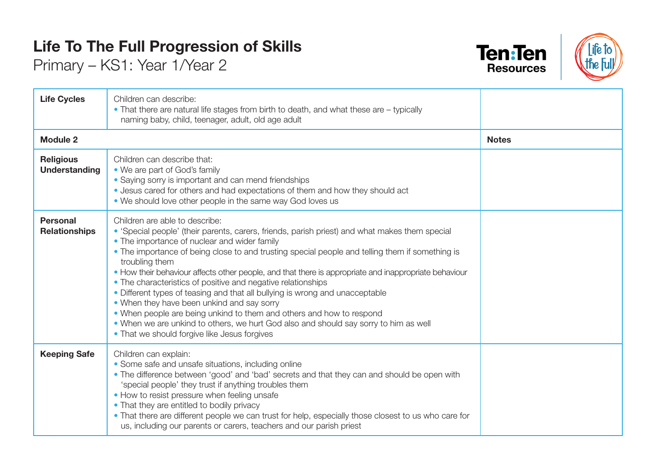## **Life To The Full Progression of Skills**

Primary – KS1: Year 1/Year 2





| <b>Life Cycles</b>                       | Children can describe:<br>• That there are natural life stages from birth to death, and what these are – typically<br>naming baby, child, teenager, adult, old age adult                                                                                                                                                                                                                                                                                                                                                                                                                                                                                                                                                                                                                                                     |              |
|------------------------------------------|------------------------------------------------------------------------------------------------------------------------------------------------------------------------------------------------------------------------------------------------------------------------------------------------------------------------------------------------------------------------------------------------------------------------------------------------------------------------------------------------------------------------------------------------------------------------------------------------------------------------------------------------------------------------------------------------------------------------------------------------------------------------------------------------------------------------------|--------------|
| <b>Module 2</b>                          |                                                                                                                                                                                                                                                                                                                                                                                                                                                                                                                                                                                                                                                                                                                                                                                                                              | <b>Notes</b> |
| <b>Religious</b><br><b>Understanding</b> | Children can describe that:<br>• We are part of God's family<br>• Saying sorry is important and can mend friendships<br>. Jesus cared for others and had expectations of them and how they should act<br>• We should love other people in the same way God loves us                                                                                                                                                                                                                                                                                                                                                                                                                                                                                                                                                          |              |
| <b>Personal</b><br><b>Relationships</b>  | Children are able to describe:<br>• 'Special people' (their parents, carers, friends, parish priest) and what makes them special<br>• The importance of nuclear and wider family<br>• The importance of being close to and trusting special people and telling them if something is<br>troubling them<br>• How their behaviour affects other people, and that there is appropriate and inappropriate behaviour<br>• The characteristics of positive and negative relationships<br>• Different types of teasing and that all bullying is wrong and unacceptable<br>• When they have been unkind and say sorry<br>• When people are being unkind to them and others and how to respond<br>. When we are unkind to others, we hurt God also and should say sorry to him as well<br>• That we should forgive like Jesus forgives |              |
| <b>Keeping Safe</b>                      | Children can explain:<br>• Some safe and unsafe situations, including online<br>• The difference between 'good' and 'bad' secrets and that they can and should be open with<br>'special people' they trust if anything troubles them<br>• How to resist pressure when feeling unsafe<br>• That they are entitled to bodily privacy<br>• That there are different people we can trust for help, especially those closest to us who care for<br>us, including our parents or carers, teachers and our parish priest                                                                                                                                                                                                                                                                                                            |              |